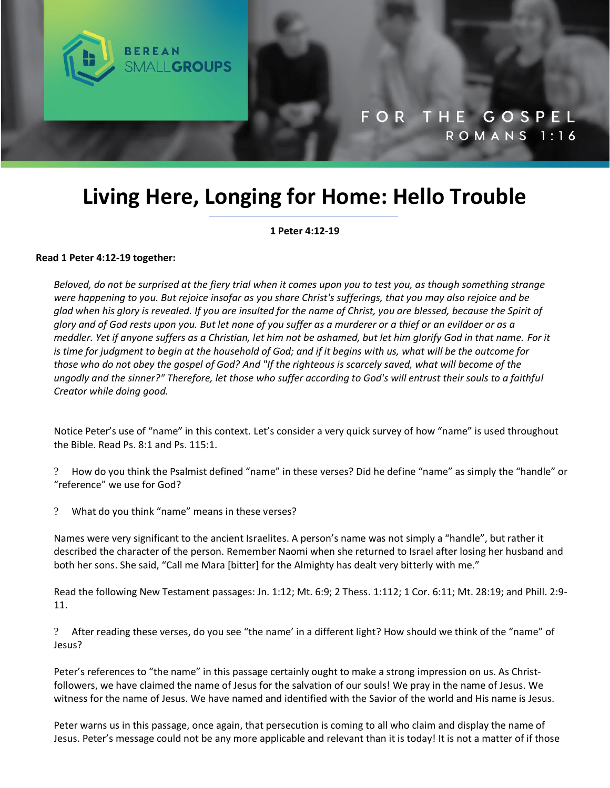

# **Living Here, Longing for Home: Hello Trouble**

**1 Peter 4:12-19**

### **Read 1 Peter 4:12-19 together:**

*Beloved, do not be surprised at the fiery trial when it comes upon you to test you, as though something strange were happening to you. But rejoice insofar as you share Christ's sufferings, that you may also rejoice and be glad when his glory is revealed. If you are insulted for the name of Christ, you are blessed, because the Spirit of glory and of God rests upon you. But let none of you suffer as a murderer or a thief or an evildoer or as a meddler. Yet if anyone suffers as a Christian, let him not be ashamed, but let him glorify God in that name. For it is time for judgment to begin at the household of God; and if it begins with us, what will be the outcome for those who do not obey the gospel of God? And "If the righteous is scarcely saved, what will become of the ungodly and the sinner?" Therefore, let those who suffer according to God's will entrust their souls to a faithful Creator while doing good.*

Notice Peter's use of "name" in this context. Let's consider a very quick survey of how "name" is used throughout the Bible. Read Ps. 8:1 and Ps. 115:1.

? How do you think the Psalmist defined "name" in these verses? Did he define "name" as simply the "handle" or "reference" we use for God?

? What do you think "name" means in these verses?

Names were very significant to the ancient Israelites. A person's name was not simply a "handle", but rather it described the character of the person. Remember Naomi when she returned to Israel after losing her husband and both her sons. She said, "Call me Mara [bitter] for the Almighty has dealt very bitterly with me."

Read the following New Testament passages: Jn. 1:12; Mt. 6:9; 2 Thess. 1:112; 1 Cor. 6:11; Mt. 28:19; and Phill. 2:9- 11.

? After reading these verses, do you see "the name' in a different light? How should we think of the "name" of Jesus?

Peter's references to "the name" in this passage certainly ought to make a strong impression on us. As Christfollowers, we have claimed the name of Jesus for the salvation of our souls! We pray in the name of Jesus. We witness for the name of Jesus. We have named and identified with the Savior of the world and His name is Jesus.

Peter warns us in this passage, once again, that persecution is coming to all who claim and display the name of Jesus. Peter's message could not be any more applicable and relevant than it is today! It is not a matter of if those